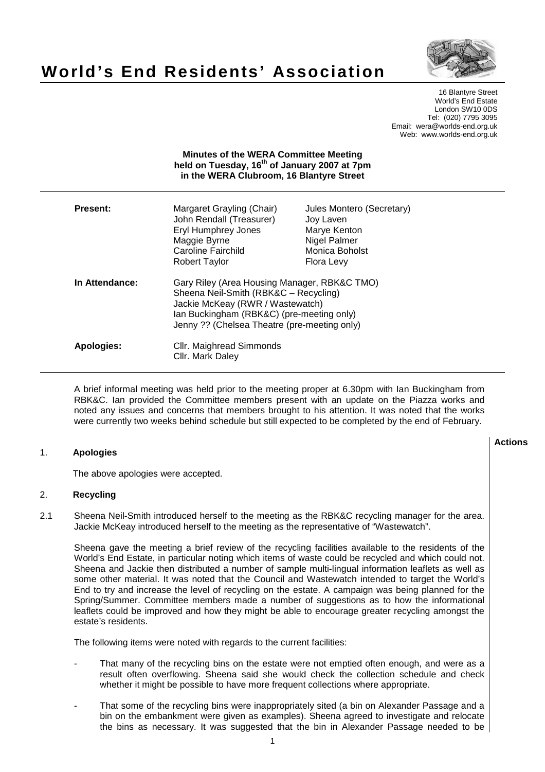

# **World's End Residents' Association**

16 Blantyre Street World's End Estate London SW10 0DS Tel: (020) 7795 3095 Email: wera@worlds-end.org.uk Web: www.worlds-end.org.uk

# **Minutes of the WERA Committee Meeting held on Tuesday, 16th of January 2007 at 7pm in the WERA Clubroom, 16 Blantyre Street**

| <b>Present:</b> | Margaret Grayling (Chair)<br>John Rendall (Treasurer)<br><b>Eryl Humphrey Jones</b><br>Maggie Byrne<br><b>Caroline Fairchild</b><br>Robert Taylor                                                                      | Jules Montero (Secretary)<br>Joy Laven<br>Marye Kenton<br>Nigel Palmer<br>Monica Boholst<br><b>Flora Levy</b> |
|-----------------|------------------------------------------------------------------------------------------------------------------------------------------------------------------------------------------------------------------------|---------------------------------------------------------------------------------------------------------------|
| In Attendance:  | Gary Riley (Area Housing Manager, RBK&C TMO)<br>Sheena Neil-Smith (RBK&C - Recycling)<br>Jackie McKeay (RWR / Wastewatch)<br>Ian Buckingham (RBK&C) (pre-meeting only)<br>Jenny ?? (Chelsea Theatre (pre-meeting only) |                                                                                                               |
| Apologies:      | Cllr. Maighread Simmonds<br>Cllr. Mark Daley                                                                                                                                                                           |                                                                                                               |

A brief informal meeting was held prior to the meeting proper at 6.30pm with Ian Buckingham from RBK&C. Ian provided the Committee members present with an update on the Piazza works and noted any issues and concerns that members brought to his attention. It was noted that the works were currently two weeks behind schedule but still expected to be completed by the end of February.

# 1. **Apologies**

The above apologies were accepted.

### 2. **Recycling**

2.1 Sheena Neil-Smith introduced herself to the meeting as the RBK&C recycling manager for the area. Jackie McKeay introduced herself to the meeting as the representative of "Wastewatch".

Sheena gave the meeting a brief review of the recycling facilities available to the residents of the World's End Estate, in particular noting which items of waste could be recycled and which could not. Sheena and Jackie then distributed a number of sample multi-lingual information leaflets as well as some other material. It was noted that the Council and Wastewatch intended to target the World's End to try and increase the level of recycling on the estate. A campaign was being planned for the Spring/Summer. Committee members made a number of suggestions as to how the informational leaflets could be improved and how they might be able to encourage greater recycling amongst the estate's residents.

The following items were noted with regards to the current facilities:

- That many of the recycling bins on the estate were not emptied often enough, and were as a result often overflowing. Sheena said she would check the collection schedule and check whether it might be possible to have more frequent collections where appropriate.
- That some of the recycling bins were inappropriately sited (a bin on Alexander Passage and a bin on the embankment were given as examples). Sheena agreed to investigate and relocate the bins as necessary. It was suggested that the bin in Alexander Passage needed to be

**Actions**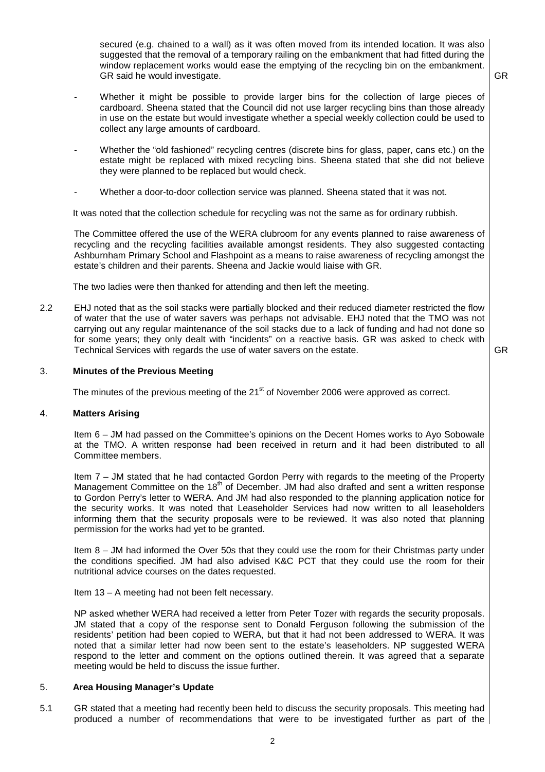secured (e.g. chained to a wall) as it was often moved from its intended location. It was also suggested that the removal of a temporary railing on the embankment that had fitted during the window replacement works would ease the emptying of the recycling bin on the embankment. GR said he would investigate.

- Whether it might be possible to provide larger bins for the collection of large pieces of cardboard. Sheena stated that the Council did not use larger recycling bins than those already in use on the estate but would investigate whether a special weekly collection could be used to collect any large amounts of cardboard.
- Whether the "old fashioned" recycling centres (discrete bins for glass, paper, cans etc.) on the estate might be replaced with mixed recycling bins. Sheena stated that she did not believe they were planned to be replaced but would check.
- Whether a door-to-door collection service was planned. Sheena stated that it was not.

It was noted that the collection schedule for recycling was not the same as for ordinary rubbish.

The Committee offered the use of the WERA clubroom for any events planned to raise awareness of recycling and the recycling facilities available amongst residents. They also suggested contacting Ashburnham Primary School and Flashpoint as a means to raise awareness of recycling amongst the estate's children and their parents. Sheena and Jackie would liaise with GR.

The two ladies were then thanked for attending and then left the meeting.

2.2 EHJ noted that as the soil stacks were partially blocked and their reduced diameter restricted the flow of water that the use of water savers was perhaps not advisable. EHJ noted that the TMO was not carrying out any regular maintenance of the soil stacks due to a lack of funding and had not done so for some years; they only dealt with "incidents" on a reactive basis. GR was asked to check with Technical Services with regards the use of water savers on the estate.

GR

GR

# 3. **Minutes of the Previous Meeting**

The minutes of the previous meeting of the  $21<sup>st</sup>$  of November 2006 were approved as correct.

### 4. **Matters Arising**

Item 6 – JM had passed on the Committee's opinions on the Decent Homes works to Ayo Sobowale at the TMO. A written response had been received in return and it had been distributed to all Committee members.

Item 7 – JM stated that he had contacted Gordon Perry with regards to the meeting of the Property Management Committee on the 18<sup>th</sup> of December. JM had also drafted and sent a written response to Gordon Perry's letter to WERA. And JM had also responded to the planning application notice for the security works. It was noted that Leaseholder Services had now written to all leaseholders informing them that the security proposals were to be reviewed. It was also noted that planning permission for the works had yet to be granted.

Item 8 – JM had informed the Over 50s that they could use the room for their Christmas party under the conditions specified. JM had also advised K&C PCT that they could use the room for their nutritional advice courses on the dates requested.

### Item 13 – A meeting had not been felt necessary.

NP asked whether WERA had received a letter from Peter Tozer with regards the security proposals. JM stated that a copy of the response sent to Donald Ferguson following the submission of the residents' petition had been copied to WERA, but that it had not been addressed to WERA. It was noted that a similar letter had now been sent to the estate's leaseholders. NP suggested WERA respond to the letter and comment on the options outlined therein. It was agreed that a separate meeting would be held to discuss the issue further.

# 5. **Area Housing Manager's Update**

5.1 GR stated that a meeting had recently been held to discuss the security proposals. This meeting had produced a number of recommendations that were to be investigated further as part of the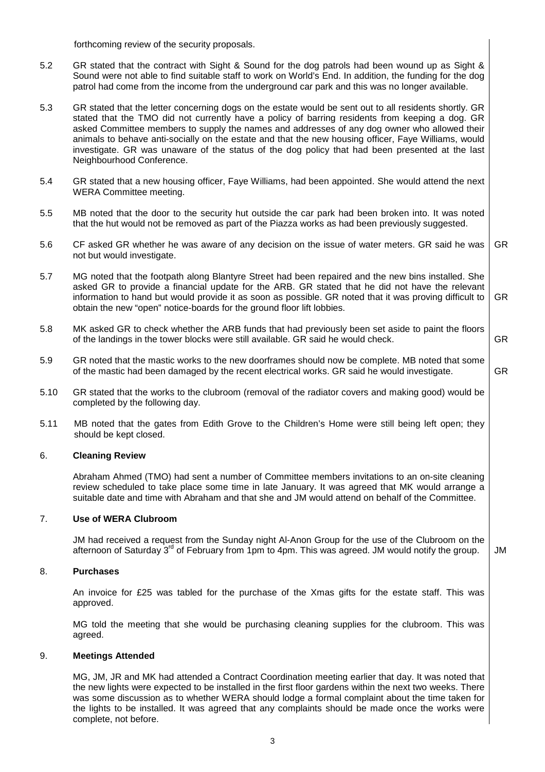forthcoming review of the security proposals.

- 5.2 GR stated that the contract with Sight & Sound for the dog patrols had been wound up as Sight & Sound were not able to find suitable staff to work on World's End. In addition, the funding for the dog patrol had come from the income from the underground car park and this was no longer available.
- 5.3 GR stated that the letter concerning dogs on the estate would be sent out to all residents shortly. GR stated that the TMO did not currently have a policy of barring residents from keeping a dog. GR asked Committee members to supply the names and addresses of any dog owner who allowed their animals to behave anti-socially on the estate and that the new housing officer, Faye Williams, would investigate. GR was unaware of the status of the dog policy that had been presented at the last Neighbourhood Conference.
- 5.4 GR stated that a new housing officer, Faye Williams, had been appointed. She would attend the next WERA Committee meeting.
- 5.5 MB noted that the door to the security hut outside the car park had been broken into. It was noted that the hut would not be removed as part of the Piazza works as had been previously suggested.
- 5.6 CF asked GR whether he was aware of any decision on the issue of water meters. GR said he was not but would investigate. GR
- 5.7 MG noted that the footpath along Blantyre Street had been repaired and the new bins installed. She asked GR to provide a financial update for the ARB. GR stated that he did not have the relevant information to hand but would provide it as soon as possible. GR noted that it was proving difficult to obtain the new "open" notice-boards for the ground floor lift lobbies. GR
- 5.8 MK asked GR to check whether the ARB funds that had previously been set aside to paint the floors of the landings in the tower blocks were still available. GR said he would check. GR
- 5.9 GR noted that the mastic works to the new doorframes should now be complete. MB noted that some of the mastic had been damaged by the recent electrical works. GR said he would investigate. GR
- 5.10 GR stated that the works to the clubroom (removal of the radiator covers and making good) would be completed by the following day.
- 5.11 MB noted that the gates from Edith Grove to the Children's Home were still being left open; they should be kept closed.

### 6. **Cleaning Review**

 Abraham Ahmed (TMO) had sent a number of Committee members invitations to an on-site cleaning review scheduled to take place some time in late January. It was agreed that MK would arrange a suitable date and time with Abraham and that she and JM would attend on behalf of the Committee.

# 7. **Use of WERA Clubroom**

 JM had received a request from the Sunday night Al-Anon Group for the use of the Clubroom on the afternoon of Saturday  $3^{rd}$  of February from 1pm to 4pm. This was agreed. JM would notify the group.  $\Box$  JM

#### 8. **Purchases**

 An invoice for £25 was tabled for the purchase of the Xmas gifts for the estate staff. This was approved.

 MG told the meeting that she would be purchasing cleaning supplies for the clubroom. This was agreed.

#### 9. **Meetings Attended**

 MG, JM, JR and MK had attended a Contract Coordination meeting earlier that day. It was noted that the new lights were expected to be installed in the first floor gardens within the next two weeks. There was some discussion as to whether WERA should lodge a formal complaint about the time taken for the lights to be installed. It was agreed that any complaints should be made once the works were complete, not before.